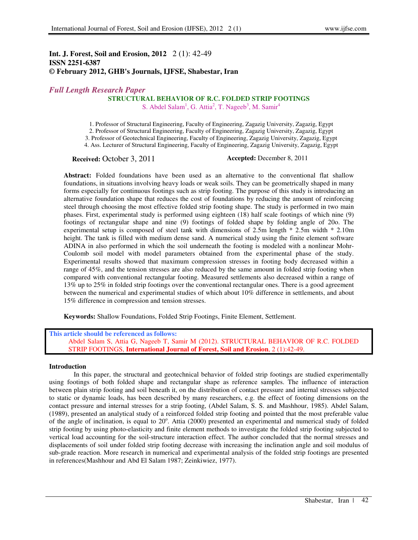## **Int. J. Forest, Soil and Erosion, 2012** 2 (1): 42-49 **ISSN 2251-6387 © February 2012, GHB's Journals, IJFSE, Shabestar, Iran**

# *Full Length Research Paper*

## **STRUCTURAL BEHAVIOR OF R.C. FOLDED STRIP FOOTINGS**

S. Abdel Salam<sup>1</sup>, G. Attia<sup>2</sup>, T. Nageeb<sup>3</sup>, M. Samir<sup>4</sup>

1. Professor of Structural Engineering, Faculty of Engineering, Zagazig University, Zagazig, Egypt

2. Professor of Structural Engineering, Faculty of Engineering, Zagazig University, Zagazig, Egypt

3. Professor of Geotechnical Engineering, Faculty of Engineering, Zagazig University, Zagazig, Egypt

4. Ass. Lecturer of Structural Engineering, Faculty of Engineering, Zagazig University, Zagazig, Egypt

**Received:** October 3, 2011 **Accepted:** December 8, 2011

**Abstract:** Folded foundations have been used as an alternative to the conventional flat shallow foundations, in situations involving heavy loads or weak soils. They can be geometrically shaped in many forms especially for continuous footings such as strip footing. The purpose of this study is introducing an alternative foundation shape that reduces the cost of foundations by reducing the amount of reinforcing steel through choosing the most effective folded strip footing shape. The study is performed in two main phases. First, experimental study is performed using eighteen (18) half scale footings of which nine (9) footings of rectangular shape and nine (9) footings of folded shape by folding angle of 20o. The experimental setup is composed of steel tank with dimensions of 2.5m length \* 2.5m width \* 2.10m height. The tank is filled with medium dense sand. A numerical study using the finite element software ADINA in also performed in which the soil underneath the footing is modeled with a nonlinear Mohr-Coulomb soil model with model parameters obtained from the experimental phase of the study. Experimental results showed that maximum compression stresses in footing body decreased within a range of 45%, and the tension stresses are also reduced by the same amount in folded strip footing when compared with conventional rectangular footing. Measured settlements also decreased within a range of 13% up to 25% in folded strip footings over the conventional rectangular ones. There is a good agreement between the numerical and experimental studies of which about 10% difference in settlements, and about 15% difference in compression and tension stresses.

**Keywords:** Shallow Foundations, Folded Strip Footings, Finite Element, Settlement.

**This article should be referenced as follows:**  Abdel Salam S, Attia G, Nageeb T, Samir M (2012). STRUCTURAL BEHAVIOR OF R.C. FOLDED STRIP FOOTINGS, **International Journal of Forest, Soil and Erosion**, 2 (1):42-49.

### **Introduction**

In this paper, the structural and geotechnical behavior of folded strip footings are studied experimentally using footings of both folded shape and rectangular shape as reference samples. The influence of interaction between plain strip footing and soil beneath it, on the distribution of contact pressure and internal stresses subjected to static or dynamic loads, has been described by many researchers, e.g. the effect of footing dimensions on the contact pressure and internal stresses for a strip footing, (Abdel Salam, S. S. and Mashhour, 1985). Abdel Salam, (1989), presented an analytical study of a reinforced folded strip footing and pointed that the most preferable value of the angle of inclination, is equal to 20°. Attia (2000) presented an experimental and numerical study of folded strip footing by using photo-elasticity and finite element methods to investigate the folded strip footing subjected to vertical load accounting for the soil-structure interaction effect. The author concluded that the normal stresses and displacements of soil under folded strip footing decrease with increasing the inclination angle and soil modulus of sub-grade reaction. More research in numerical and experimental analysis of the folded strip footings are presented in references(Mashhour and Abd El Salam 1987; Zeinkiwiez, 1977).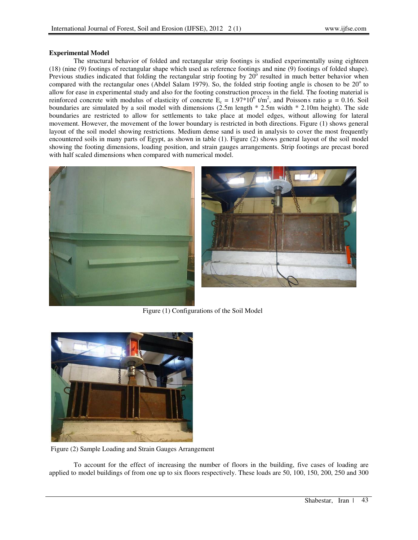## **Experimental Model**

The structural behavior of folded and rectangular strip footings is studied experimentally using eighteen (18) (nine (9) footings of rectangular shape which used as reference footings and nine (9) footings of folded shape). Previous studies indicated that folding the rectangular strip footing by  $20^{\circ}$  resulted in much better behavior when compared with the rectangular ones (Abdel Salam 1979). So, the folded strip footing angle is chosen to be  $20^{\circ}$  to allow for ease in experimental study and also for the footing construction process in the field. The footing material is reinforced concrete with modulus of elasticity of concrete  $E_c = 1.97*10^6$  t/m<sup>2</sup>, and Poisson's ratio  $\mu = 0.16$ . Soil boundaries are simulated by a soil model with dimensions (2.5m length \* 2.5m width \* 2.10m height). The side boundaries are restricted to allow for settlements to take place at model edges, without allowing for lateral movement. However, the movement of the lower boundary is restricted in both directions. Figure (1) shows general layout of the soil model showing restrictions. Medium dense sand is used in analysis to cover the most frequently encountered soils in many parts of Egypt, as shown in table (1). Figure (2) shows general layout of the soil model showing the footing dimensions, loading position, and strain gauges arrangements. Strip footings are precast bored with half scaled dimensions when compared with numerical model.



Figure (1) Configurations of the Soil Model



Figure (2) Sample Loading and Strain Gauges Arrangement

To account for the effect of increasing the number of floors in the building, five cases of loading are applied to model buildings of from one up to six floors respectively. These loads are 50, 100, 150, 200, 250 and 300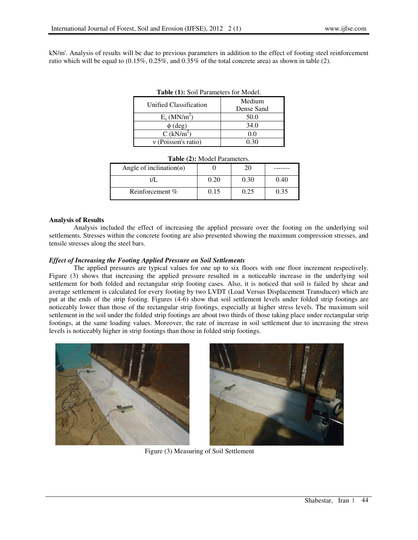kN/m'. Analysis of results will be due to previous parameters in addition to the effect of footing steel reinforcement ratio which will be equal to  $(0.15\%, 0.25\%, \text{ and } 0.35\%$  of the total concrete area) as shown in table (2).

| <b>Table (1):</b> Soil Parameters for Model. |            |  |  |
|----------------------------------------------|------------|--|--|
| Unified Classification                       | Medium     |  |  |
|                                              | Dense Sand |  |  |
| $E_s$ (MN/m <sup>2</sup> )                   | 50.0       |  |  |
| $\phi$ (deg)                                 | 34.0       |  |  |
| $C$ (kN/m <sup>2</sup> )                     | 0.0        |  |  |
| $v$ (Poisson's ratio)                        | 0.30       |  |  |

|  | Table (1): Soil Parameters for Model. |  |  |
|--|---------------------------------------|--|--|
|--|---------------------------------------|--|--|

| Table (2): Model Parameters.     |      |      |      |  |  |
|----------------------------------|------|------|------|--|--|
| Angle of inclination( $\Theta$ ) |      | 20   |      |  |  |
| t/I                              | 0.20 | 0.30 | 0.40 |  |  |
| Reinforcement %                  | 0.15 | 0.25 | 0.35 |  |  |

#### **Analysis of Results**

Analysis included the effect of increasing the applied pressure over the footing on the underlying soil settlements. Stresses within the concrete footing are also presented showing the maximum compression stresses, and tensile stresses along the steel bars.

### *Effect of Increasing the Footing Applied Pressure on Soil Settlements*

The applied pressures are typical values for one up to six floors with one floor increment respectively. Figure (3) shows that increasing the applied pressure resulted in a noticeable increase in the underlying soil settlement for both folded and rectangular strip footing cases. Also, it is noticed that soil is failed by shear and average settlement is calculated for every footing by two LVDT (Load Versus Displacement Transducer) which are put at the ends of the strip footing. Figures (4-6) show that soil settlement levels under folded strip footings are noticeably lower than those of the rectangular strip footings, especially at higher stress levels. The maximum soil settlement in the soil under the folded strip footings are about two thirds of those taking place under rectangular strip footings, at the same loading values. Moreover, the rate of increase in soil settlement due to increasing the stress levels is noticeably higher in strip footings than those in folded strip footings.



Figure (3) Measuring of Soil Settlement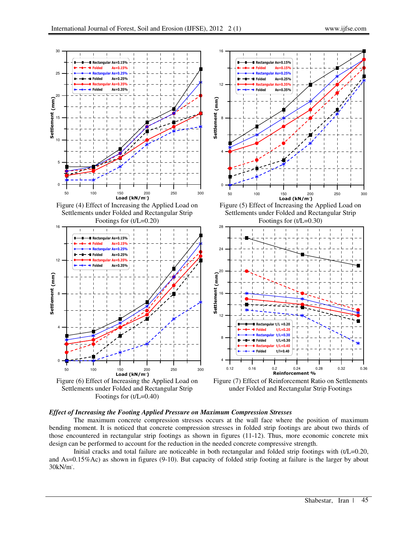

Footings for (t/L=0.40)



# *Effect of Increasing the Footing Applied Pressure on Maximum Compression Stresses*

The maximum concrete compression stresses occurs at the wall face where the position of maximum bending moment. It is noticed that concrete compression stresses in folded strip footings are about two thirds of those encountered in rectangular strip footings as shown in figures (11-12). Thus, more economic concrete mix design can be performed to account for the reduction in the needed concrete compressive strength.

Initial cracks and total failure are noticeable in both rectangular and folded strip footings with (t/L=0.20, and As=0.15%Ac) as shown in figures (9-10). But capacity of folded strip footing at failure is the larger by about 30kN/m- .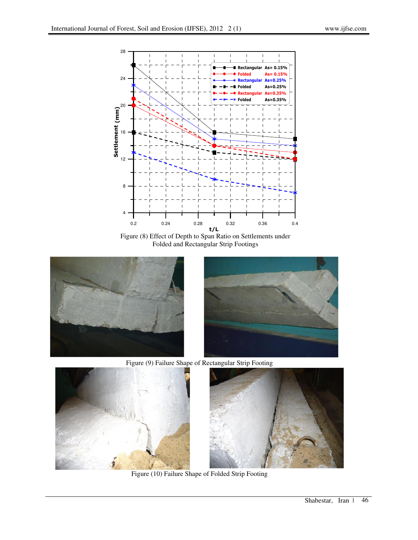

Figure (8) Effect of Depth to Span Ratio on Settlements under Folded and Rectangular Strip Footings





Figure (9) Failure Shape of Rectangular Strip Footing





Figure (10) Failure Shape of Folded Strip Footing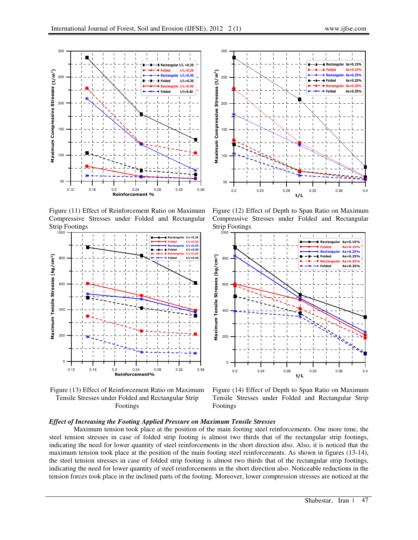

Figure (11) Effect of Reinforcement Ratio on Maximum Compressive Stresses under Folded and Rectangular Strip Footings



Figure (13) Effect of Reinforcement Ratio on Maximum Tensile Stresses under Folded and Rectangular Strip Footings



Figure (12) Effect of Depth to Span Ratio on Maximum Compressive Stresses under Folded and Rectangular Strip Footings



Figure (14) Effect of Depth to Span Ratio on Maximum Tensile Stresses under Folded and Rectangular Strip Footings

## *Effect of Increasing the Footing Applied Pressure on Maximum Tensile Stresses*

Maximum tension took place at the position of the main footing steel reinforcements. One more time, the steel tension stresses in case of folded strip footing is almost two thirds that of the rectangular strip footings, indicating the need for lower quantity of steel reinforcements in the short direction also. Also, it is noticed that the maximum tension took place at the position of the main footing steel reinforcements. As shown in figures (13-14), the steel tension stresses in case of folded strip footing is almost two thirds that of the rectangular strip footings, indicating the need for lower quantity of steel reinforcements in the short direction also. Noticeable reductions in the tension forces took place in the inclined parts of the footing. Moreover, lower compression stresses are noticed at the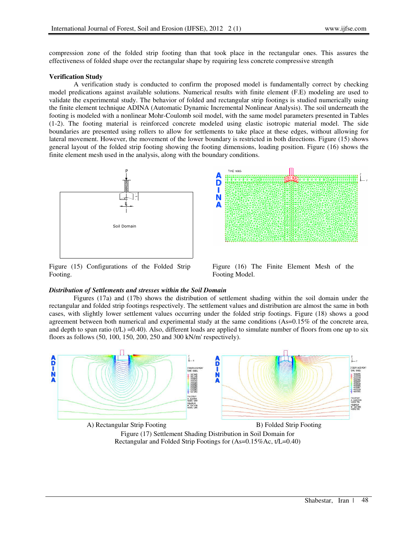compression zone of the folded strip footing than that took place in the rectangular ones. This assures the effectiveness of folded shape over the rectangular shape by requiring less concrete compressive strength

### **Verification Study**

A verification study is conducted to confirm the proposed model is fundamentally correct by checking model predications against available solutions. Numerical results with finite element (F.E) modeling are used to validate the experimental study. The behavior of folded and rectangular strip footings is studied numerically using the finite element technique ADINA (Automatic Dynamic Incremental Nonlinear Analysis). The soil underneath the footing is modeled with a nonlinear Mohr-Coulomb soil model, with the same model parameters presented in Tables (1-2). The footing material is reinforced concrete modeled using elastic isotropic material model. The side boundaries are presented using rollers to allow for settlements to take place at these edges, without allowing for lateral movement. However, the movement of the lower boundary is restricted in both directions. Figure (15) shows general layout of the folded strip footing showing the footing dimensions, loading position. Figure (16) shows the finite element mesh used in the analysis, along with the boundary conditions.



Figure (15) Configurations of the Folded Strip Footing.



Figure (16) The Finite Element Mesh of the Footing Model.

## *Distribution of Settlements and stresses within the Soil Domain*

Figures (17a) and (17b) shows the distribution of settlement shading within the soil domain under the rectangular and folded strip footings respectively. The settlement values and distribution are almost the same in both cases, with slightly lower settlement values occurring under the folded strip footings. Figure (18) shows a good agreement between both numerical and experimental study at the same conditions (As=0.15% of the concrete area, and depth to span ratio (t/L) =0.40). Also, different loads are applied to simulate number of floors from one up to six floors as follows (50, 100, 150, 200, 250 and 300 kN/m' respectively).



Figure (17) Settlement Shading Distribution in Soil Domain for Rectangular and Folded Strip Footings for (As=0.15%Ac, t/L=0.40)